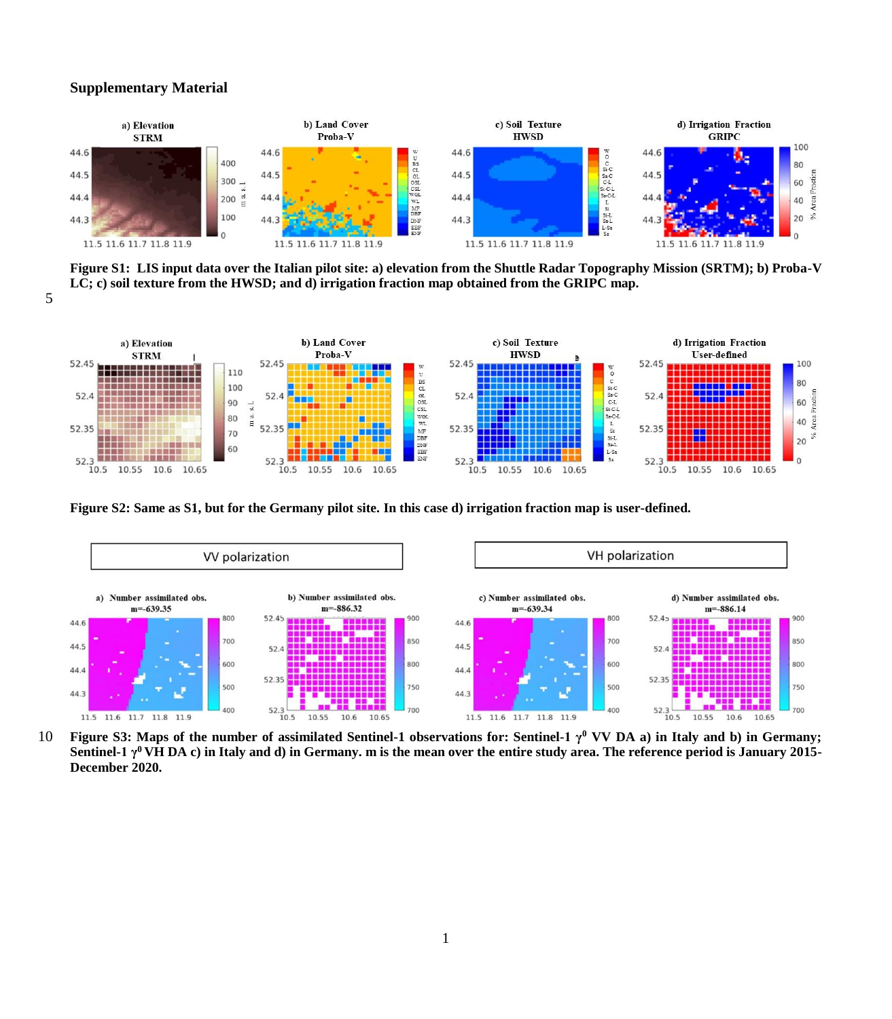## **Supplementary Material**

5



**Figure S1: LIS input data over the Italian pilot site: a) elevation from the Shuttle Radar Topography Mission (SRTM); b) Proba-V LC; c) soil texture from the HWSD; and d) irrigation fraction map obtained from the GRIPC map.**



**Figure S2: Same as S1, but for the Germany pilot site. In this case d) irrigation fraction map is user-defined.**



**f** 10 **Figure S3:** Maps of the number of assimilated Sentinel-1 observations for: Sentinel-1 γ<sup>0</sup> VV DA a) in Italy and b) in Germany; **Sentinel-1 γ<sup>0</sup>VH DA c) in Italy and d) in Germany. m is the mean over the entire study area. The reference period is January 2015- December 2020.**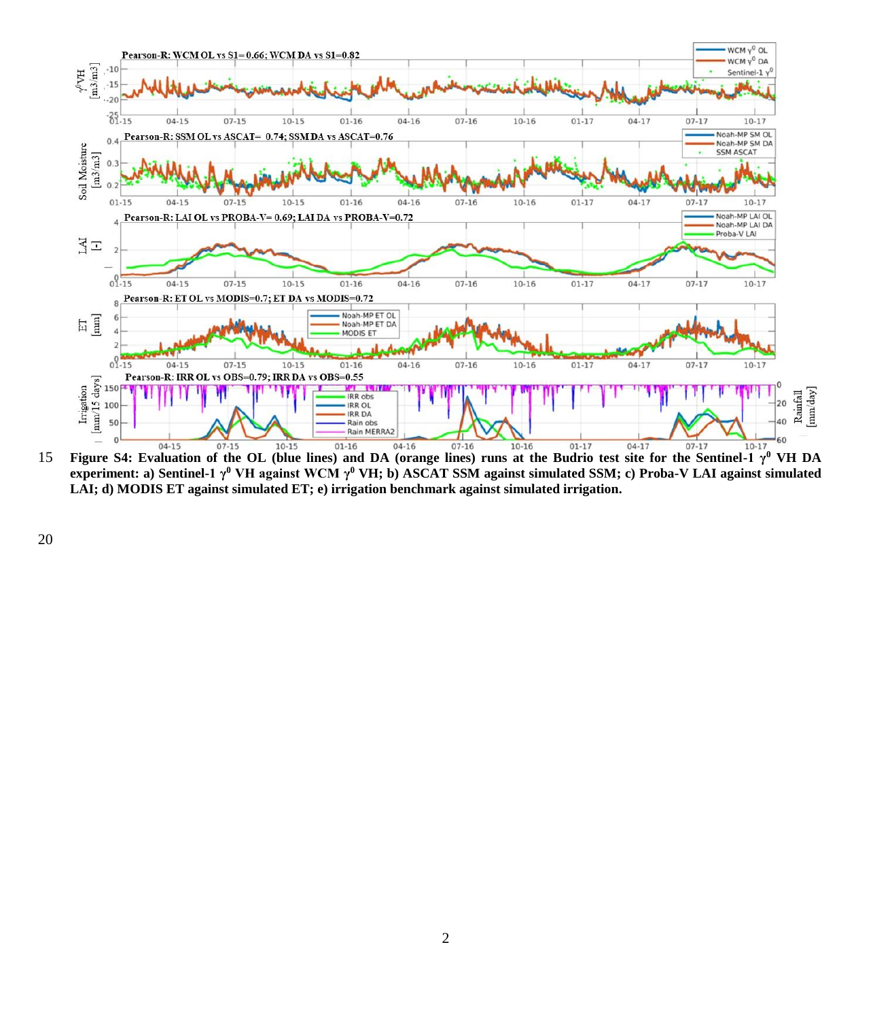

**Figure S4:** Evaluation of the OL (blue lines) and DA (orange lines) runs at the Budrio test site for the Sentinel-1 γ<sup>0</sup> VH DA **experiment: a) Sentinel-1 γ<sup>0</sup> VH against WCM γ<sup>0</sup> VH; b) ASCAT SSM against simulated SSM; c) Proba-V LAI against simulated LAI; d) MODIS ET against simulated ET; e) irrigation benchmark against simulated irrigation.**

20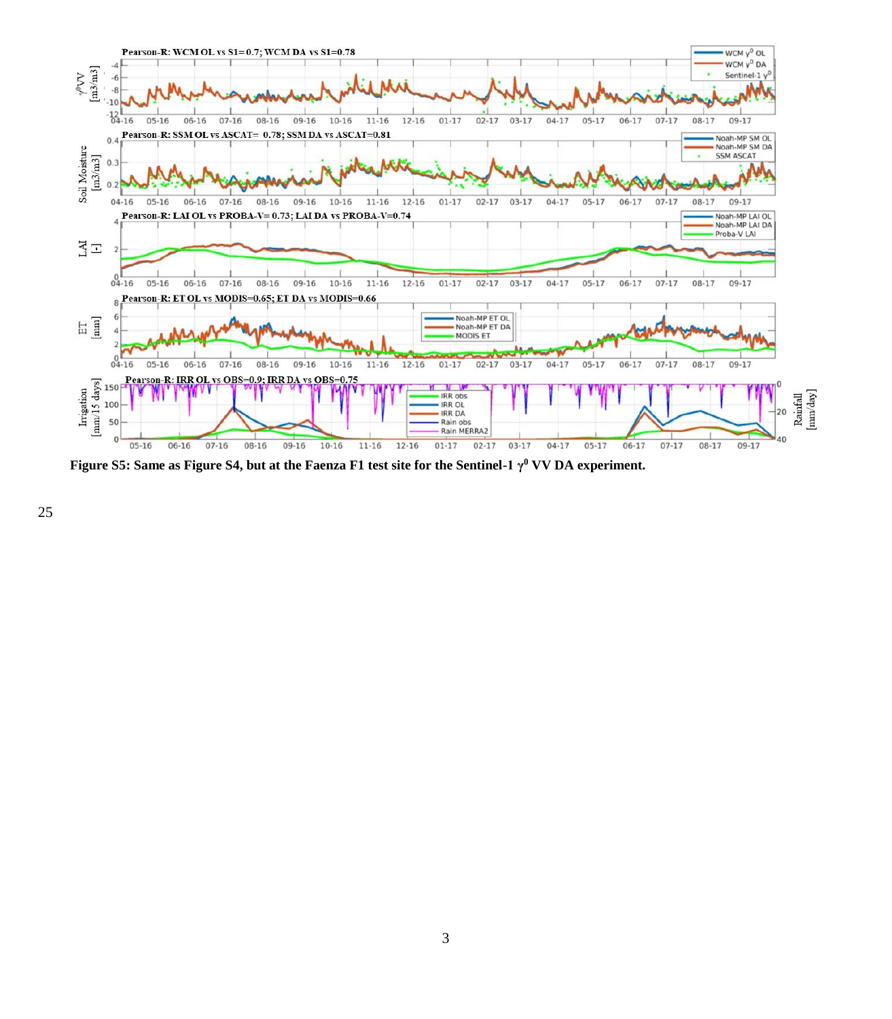

**Figure S5: Same as Figure S4, but at the Faenza F1 test site for the Sentinel-1 γ<sup>0</sup> VV DA experiment.**